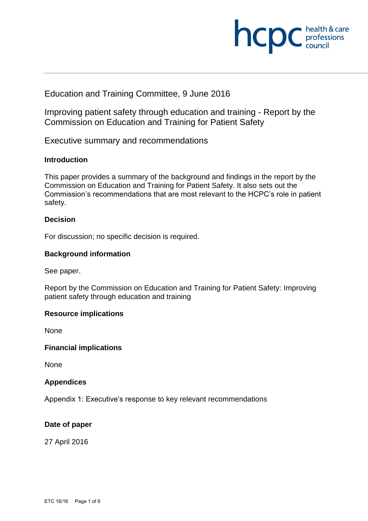

# Education and Training Committee, 9 June 2016

Improving patient safety through education and training - Report by the Commission on Education and Training for Patient Safety

Executive summary and recommendations

#### **Introduction**

This paper provides a summary of the background and findings in the report by the Commission on Education and Training for Patient Safety. It also sets out the Commission's recommendations that are most relevant to the HCPC's role in patient safety.

#### **Decision**

For discussion; no specific decision is required.

#### **Background information**

See paper.

Report by the Commission on Education and Training for Patient Safety: Improving patient safety through education and training

#### **Resource implications**

None

**Financial implications** 

None

#### **Appendices**

Appendix 1: Executive's response to key relevant recommendations

# **Date of paper**

27 April 2016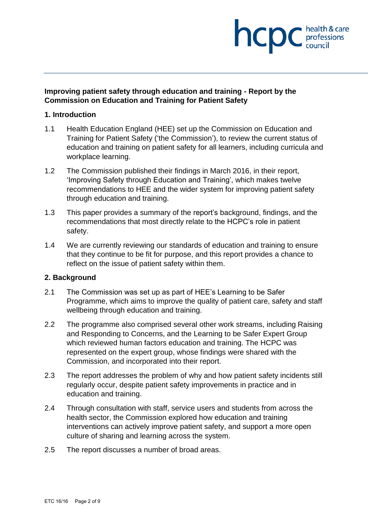# **NCDC** health & care

# **Improving patient safety through education and training - Report by the Commission on Education and Training for Patient Safety**

#### **1. Introduction**

- 1.1 Health Education England (HEE) set up the Commission on Education and Training for Patient Safety ('the Commission'), to review the current status of education and training on patient safety for all learners, including curricula and workplace learning.
- 1.2 The Commission published their findings in March 2016, in their report, 'Improving Safety through Education and Training', which makes twelve recommendations to HEE and the wider system for improving patient safety through education and training.
- 1.3 This paper provides a summary of the report's background, findings, and the recommendations that most directly relate to the HCPC's role in patient safety.
- 1.4 We are currently reviewing our standards of education and training to ensure that they continue to be fit for purpose, and this report provides a chance to reflect on the issue of patient safety within them.

# **2. Background**

- 2.1 The Commission was set up as part of HEE's Learning to be Safer Programme, which aims to improve the quality of patient care, safety and staff wellbeing through education and training.
- 2.2 The programme also comprised several other work streams, including Raising and Responding to Concerns, and the Learning to be Safer Expert Group which reviewed human factors education and training. The HCPC was represented on the expert group, whose findings were shared with the Commission, and incorporated into their report.
- 2.3 The report addresses the problem of why and how patient safety incidents still regularly occur, despite patient safety improvements in practice and in education and training.
- 2.4 Through consultation with staff, service users and students from across the health sector, the Commission explored how education and training interventions can actively improve patient safety, and support a more open culture of sharing and learning across the system.
- 2.5 The report discusses a number of broad areas.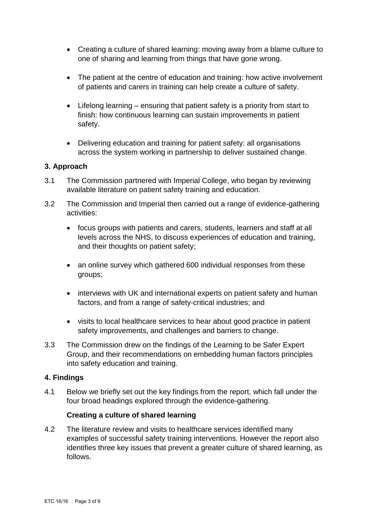- Creating a culture of shared learning: moving away from a blame culture to one of sharing and learning from things that have gone wrong.
- The patient at the centre of education and training: how active involvement of patients and carers in training can help create a culture of safety.
- Lifelong learning ensuring that patient safety is a priority from start to finish: how continuous learning can sustain improvements in patient safety.
- Delivering education and training for patient safety: all organisations across the system working in partnership to deliver sustained change.

# **3. Approach**

- 3.1 The Commission partnered with Imperial College, who began by reviewing available literature on patient safety training and education.
- 3.2 The Commission and Imperial then carried out a range of evidence-gathering activities:
	- focus groups with patients and carers, students, learners and staff at all levels across the NHS, to discuss experiences of education and training, and their thoughts on patient safety;
	- an online survey which gathered 600 individual responses from these groups;
	- interviews with UK and international experts on patient safety and human factors, and from a range of safety-critical industries; and
	- visits to local healthcare services to hear about good practice in patient safety improvements, and challenges and barriers to change.
- 3.3 The Commission drew on the findings of the Learning to be Safer Expert Group, and their recommendations on embedding human factors principles into safety education and training.

# **4. Findings**

4.1 Below we briefly set out the key findings from the report, which fall under the four broad headings explored through the evidence-gathering.

# **Creating a culture of shared learning**

4.2 The literature review and visits to healthcare services identified many examples of successful safety training interventions. However the report also identifies three key issues that prevent a greater culture of shared learning, as follows.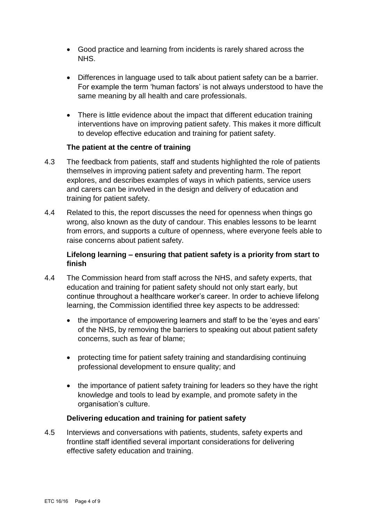- Good practice and learning from incidents is rarely shared across the NHS.
- Differences in language used to talk about patient safety can be a barrier. For example the term 'human factors' is not always understood to have the same meaning by all health and care professionals.
- There is little evidence about the impact that different education training interventions have on improving patient safety. This makes it more difficult to develop effective education and training for patient safety.

# **The patient at the centre of training**

- 4.3 The feedback from patients, staff and students highlighted the role of patients themselves in improving patient safety and preventing harm. The report explores, and describes examples of ways in which patients, service users and carers can be involved in the design and delivery of education and training for patient safety.
- 4.4 Related to this, the report discusses the need for openness when things go wrong, also known as the duty of candour. This enables lessons to be learnt from errors, and supports a culture of openness, where everyone feels able to raise concerns about patient safety.

# **Lifelong learning – ensuring that patient safety is a priority from start to finish**

- 4.4 The Commission heard from staff across the NHS, and safety experts, that education and training for patient safety should not only start early, but continue throughout a healthcare worker's career. In order to achieve lifelong learning, the Commission identified three key aspects to be addressed:
	- the importance of empowering learners and staff to be the 'eyes and ears' of the NHS, by removing the barriers to speaking out about patient safety concerns, such as fear of blame;
	- protecting time for patient safety training and standardising continuing professional development to ensure quality; and
	- the importance of patient safety training for leaders so they have the right knowledge and tools to lead by example, and promote safety in the organisation's culture.

#### **Delivering education and training for patient safety**

4.5 Interviews and conversations with patients, students, safety experts and frontline staff identified several important considerations for delivering effective safety education and training.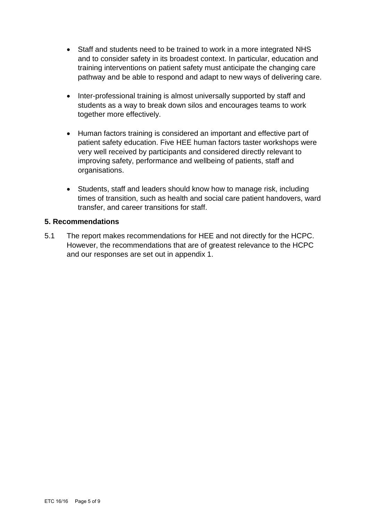- Staff and students need to be trained to work in a more integrated NHS and to consider safety in its broadest context. In particular, education and training interventions on patient safety must anticipate the changing care pathway and be able to respond and adapt to new ways of delivering care.
- Inter-professional training is almost universally supported by staff and students as a way to break down silos and encourages teams to work together more effectively.
- Human factors training is considered an important and effective part of patient safety education. Five HEE human factors taster workshops were very well received by participants and considered directly relevant to improving safety, performance and wellbeing of patients, staff and organisations.
- Students, staff and leaders should know how to manage risk, including times of transition, such as health and social care patient handovers, ward transfer, and career transitions for staff.

# **5. Recommendations**

5.1 The report makes recommendations for HEE and not directly for the HCPC. However, the recommendations that are of greatest relevance to the HCPC and our responses are set out in appendix 1.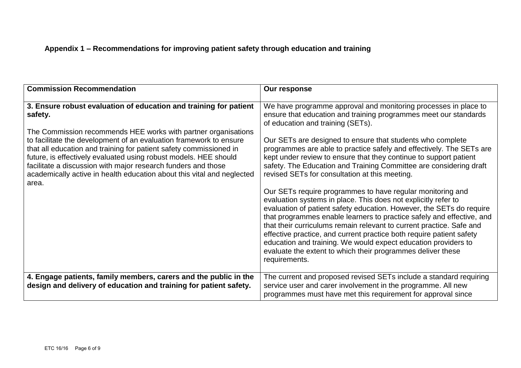# **Appendix 1 – Recommendations for improving patient safety through education and training**

| <b>Commission Recommendation</b>                                                                                                                                                                                                                                                                                                                                                                                                                                                                                   | Our response                                                                                                                                                                                                                                                                                                                                                                                                                                                                                                                                                                                                                                                                                                                                                                                                                                                                                                                                                                                                                                                                                   |
|--------------------------------------------------------------------------------------------------------------------------------------------------------------------------------------------------------------------------------------------------------------------------------------------------------------------------------------------------------------------------------------------------------------------------------------------------------------------------------------------------------------------|------------------------------------------------------------------------------------------------------------------------------------------------------------------------------------------------------------------------------------------------------------------------------------------------------------------------------------------------------------------------------------------------------------------------------------------------------------------------------------------------------------------------------------------------------------------------------------------------------------------------------------------------------------------------------------------------------------------------------------------------------------------------------------------------------------------------------------------------------------------------------------------------------------------------------------------------------------------------------------------------------------------------------------------------------------------------------------------------|
| 3. Ensure robust evaluation of education and training for patient<br>safety.<br>The Commission recommends HEE works with partner organisations<br>to facilitate the development of an evaluation framework to ensure<br>that all education and training for patient safety commissioned in<br>future, is effectively evaluated using robust models. HEE should<br>facilitate a discussion with major research funders and those<br>academically active in health education about this vital and neglected<br>area. | We have programme approval and monitoring processes in place to<br>ensure that education and training programmes meet our standards<br>of education and training (SETs).<br>Our SETs are designed to ensure that students who complete<br>programmes are able to practice safely and effectively. The SETs are<br>kept under review to ensure that they continue to support patient<br>safety. The Education and Training Committee are considering draft<br>revised SETs for consultation at this meeting.<br>Our SETs require programmes to have regular monitoring and<br>evaluation systems in place. This does not explicitly refer to<br>evaluation of patient safety education. However, the SETs do require<br>that programmes enable learners to practice safely and effective, and<br>that their curriculums remain relevant to current practice. Safe and<br>effective practice, and current practice both require patient safety<br>education and training. We would expect education providers to<br>evaluate the extent to which their programmes deliver these<br>requirements. |
| 4. Engage patients, family members, carers and the public in the<br>design and delivery of education and training for patient safety.                                                                                                                                                                                                                                                                                                                                                                              | The current and proposed revised SETs include a standard requiring<br>service user and carer involvement in the programme. All new<br>programmes must have met this requirement for approval since                                                                                                                                                                                                                                                                                                                                                                                                                                                                                                                                                                                                                                                                                                                                                                                                                                                                                             |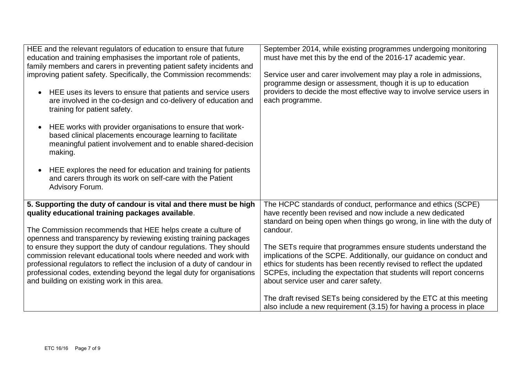| HEE and the relevant regulators of education to ensure that future<br>education and training emphasises the important role of patients,<br>family members and carers in preventing patient safety incidents and<br>improving patient safety. Specifically, the Commission recommends:<br>HEE uses its levers to ensure that patients and service users<br>$\bullet$<br>are involved in the co-design and co-delivery of education and<br>training for patient safety.<br>HEE works with provider organisations to ensure that work-<br>$\bullet$<br>based clinical placements encourage learning to facilitate<br>meaningful patient involvement and to enable shared-decision<br>making.<br>HEE explores the need for education and training for patients<br>$\bullet$<br>and carers through its work on self-care with the Patient<br>Advisory Forum. | September 2014, while existing programmes undergoing monitoring<br>must have met this by the end of the 2016-17 academic year.<br>Service user and carer involvement may play a role in admissions,<br>programme design or assessment, though it is up to education<br>providers to decide the most effective way to involve service users in<br>each programme.                                                                                                                                                                                                                                                                                                                              |
|---------------------------------------------------------------------------------------------------------------------------------------------------------------------------------------------------------------------------------------------------------------------------------------------------------------------------------------------------------------------------------------------------------------------------------------------------------------------------------------------------------------------------------------------------------------------------------------------------------------------------------------------------------------------------------------------------------------------------------------------------------------------------------------------------------------------------------------------------------|-----------------------------------------------------------------------------------------------------------------------------------------------------------------------------------------------------------------------------------------------------------------------------------------------------------------------------------------------------------------------------------------------------------------------------------------------------------------------------------------------------------------------------------------------------------------------------------------------------------------------------------------------------------------------------------------------|
| 5. Supporting the duty of candour is vital and there must be high<br>quality educational training packages available.<br>The Commission recommends that HEE helps create a culture of<br>openness and transparency by reviewing existing training packages<br>to ensure they support the duty of candour regulations. They should<br>commission relevant educational tools where needed and work with<br>professional regulators to reflect the inclusion of a duty of candour in<br>professional codes, extending beyond the legal duty for organisations<br>and building on existing work in this area.                                                                                                                                                                                                                                               | The HCPC standards of conduct, performance and ethics (SCPE)<br>have recently been revised and now include a new dedicated<br>standard on being open when things go wrong, in line with the duty of<br>candour.<br>The SETs require that programmes ensure students understand the<br>implications of the SCPE. Additionally, our guidance on conduct and<br>ethics for students has been recently revised to reflect the updated<br>SCPEs, including the expectation that students will report concerns<br>about service user and carer safety.<br>The draft revised SETs being considered by the ETC at this meeting<br>also include a new requirement (3.15) for having a process in place |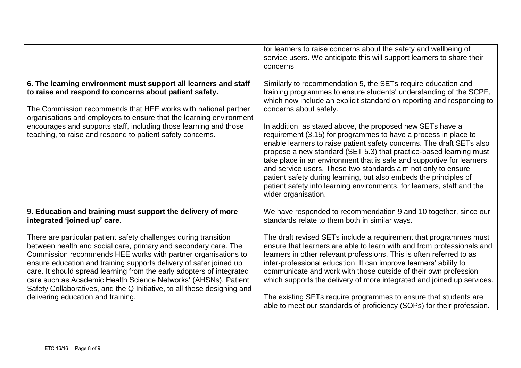|                                                                                                                                                                                                                                                                                                                                                                                                                                                                                                                                         | for learners to raise concerns about the safety and wellbeing of<br>service users. We anticipate this will support learners to share their<br>concerns                                                                                                                                                                                                                                                                                                                                                                                                                              |
|-----------------------------------------------------------------------------------------------------------------------------------------------------------------------------------------------------------------------------------------------------------------------------------------------------------------------------------------------------------------------------------------------------------------------------------------------------------------------------------------------------------------------------------------|-------------------------------------------------------------------------------------------------------------------------------------------------------------------------------------------------------------------------------------------------------------------------------------------------------------------------------------------------------------------------------------------------------------------------------------------------------------------------------------------------------------------------------------------------------------------------------------|
| 6. The learning environment must support all learners and staff<br>to raise and respond to concerns about patient safety.<br>The Commission recommends that HEE works with national partner<br>organisations and employers to ensure that the learning environment<br>encourages and supports staff, including those learning and those<br>teaching, to raise and respond to patient safety concerns.                                                                                                                                   | Similarly to recommendation 5, the SETs require education and<br>training programmes to ensure students' understanding of the SCPE,<br>which now include an explicit standard on reporting and responding to<br>concerns about safety.<br>In addition, as stated above, the proposed new SETs have a<br>requirement (3.15) for programmes to have a process in place to<br>enable learners to raise patient safety concerns. The draft SETs also                                                                                                                                    |
|                                                                                                                                                                                                                                                                                                                                                                                                                                                                                                                                         | propose a new standard (SET 5.3) that practice-based learning must<br>take place in an environment that is safe and supportive for learners<br>and service users. These two standards aim not only to ensure<br>patient safety during learning, but also embeds the principles of<br>patient safety into learning environments, for learners, staff and the<br>wider organisation.                                                                                                                                                                                                  |
| 9. Education and training must support the delivery of more<br>integrated 'joined up' care.                                                                                                                                                                                                                                                                                                                                                                                                                                             | We have responded to recommendation 9 and 10 together, since our<br>standards relate to them both in similar ways.                                                                                                                                                                                                                                                                                                                                                                                                                                                                  |
| There are particular patient safety challenges during transition<br>between health and social care, primary and secondary care. The<br>Commission recommends HEE works with partner organisations to<br>ensure education and training supports delivery of safer joined up<br>care. It should spread learning from the early adopters of integrated<br>care such as Academic Health Science Networks' (AHSNs), Patient<br>Safety Collaboratives, and the Q Initiative, to all those designing and<br>delivering education and training. | The draft revised SETs include a requirement that programmes must<br>ensure that learners are able to learn with and from professionals and<br>learners in other relevant professions. This is often referred to as<br>inter-professional education. It can improve learners' ability to<br>communicate and work with those outside of their own profession<br>which supports the delivery of more integrated and joined up services.<br>The existing SETs require programmes to ensure that students are<br>able to meet our standards of proficiency (SOPs) for their profession. |